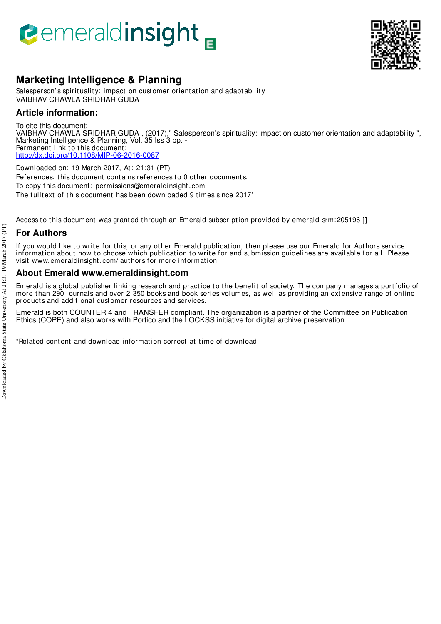## **Pemeraldinsight**



#### **Marketing Intelligence & Planning**

Salesperson's spirituality: impact on customer orientation and adaptability VAIBHAV CHAWLA SRIDHAR GUDA

#### **Article information:**

To cite this document: VAIBHAV CHAWLA SRIDHAR GUDA , (2017)," Salesperson's spirituality: impact on customer orientation and adaptability ", Marketing Intelligence & Planning, Vol. 35 Iss 3 pp. - Permanent link to this document: http://dx.doi.org/10.1108/MIP-06-2016-0087

Downloaded on: 19 March 2017, At : 21:31 (PT) References: this document contains references to 0 other documents. To copy t his document : permissions@emeraldinsight .com The fulltext of this document has been downloaded 9 times since 2017<sup>\*</sup>

Access to this document was granted through an Emerald subscription provided by emerald-srm: 205196 []

#### **For Authors**

If you would like to write for this, or any other Emerald publication, then please use our Emerald for Authors service information about how to choose which publication to write for and submission guidelines are available for all. Please visit www.emeraldinsight .com/ aut hors for more informat ion.

#### **About Emerald www.emeraldinsight.com**

Emerald is a global publisher linking research and practice to the benefit of society. The company manages a portfolio of more than 290 journals and over 2,350 books and book series volumes, as well as providing an extensive range of online product s and addit ional cust omer resources and services.

Emerald is both COUNTER 4 and TRANSFER compliant. The organization is a partner of the Committee on Publication Ethics (COPE) and also works with Portico and the LOCKSS initiative for digital archive preservation.

\*Related content and download information correct at time of download.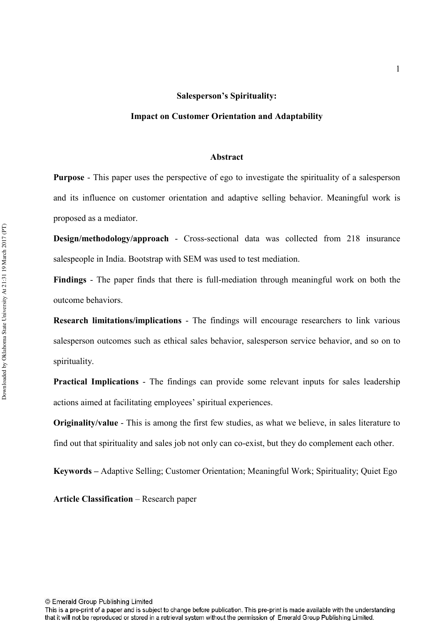#### Salesperson's Spirituality:

#### Impact on Customer Orientation and Adaptability

#### Abstract

**Purpose** - This paper uses the perspective of ego to investigate the spirituality of a salesperson and its influence on customer orientation and adaptive selling behavior. Meaningful work is proposed as a mediator.

**Design/methodology/approach - Cross-sectional data was collected from 218 insurance** salespeople in India. Bootstrap with SEM was used to test mediation.

**Findings** - The paper finds that there is full-mediation through meaningful work on both the outcome behaviors.

**Research limitations/implications - The findings will encourage researchers to link various** salesperson outcomes such as ethical sales behavior, salesperson service behavior, and so on to spirituality.

**Practical Implications** - The findings can provide some relevant inputs for sales leadership actions aimed at facilitating employees' spiritual experiences.

**Originality/value** - This is among the first few studies, as what we believe, in sales literature to find out that spirituality and sales job not only can co-exist, but they do complement each other.

Keywords - Adaptive Selling; Customer Orientation; Meaningful Work; Spirituality; Quiet Ego

**Article Classification – Research paper** 

© Emerald Group Publishing Limited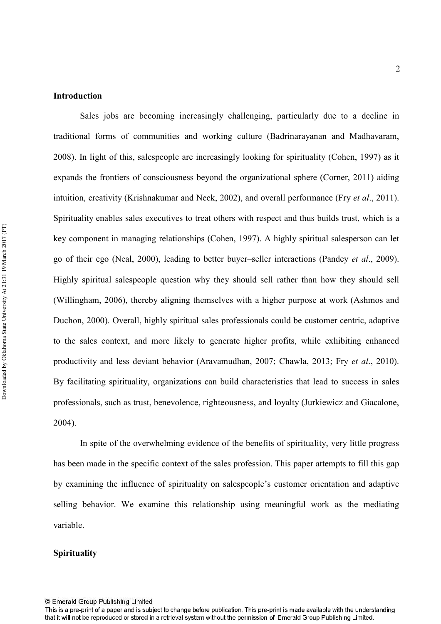#### **Introduction**

Sales jobs are becoming increasingly challenging, particularly due to a decline in traditional forms of communities and working culture (Badrinarayanan and Madhavaram, 2008). In light of this, salespeople are increasingly looking for spirituality (Cohen, 1997) as it expands the frontiers of consciousness beyond the organizational sphere (Corner, 2011) aiding intuition, creativity (Krishnakumar and Neck, 2002), and overall performance (Fry *et al.*, 2011). Spirituality enables sales executives to treat others with respect and thus builds trust, which is a key component in managing relationships (Cohen, 1997). A highly spiritual salesperson can let go of their ego (Neal, 2000), leading to better buyer–seller interactions (Pandey *et al.*, 2009). Highly spiritual salespeople question why they should sell rather than how they should sell (Willingham, 2006), thereby aligning themselves with a higher purpose at work (Ashmos and Duchon, 2000). Overall, highly spiritual sales professionals could be customer centric, adaptive to the sales context, and more likely to generate higher profits, while exhibiting enhanced productivity and less deviant behavior (Aravamudhan, 2007; Chawla, 2013; Fry *et al.*, 2010). By facilitating spirituality, organizations can build characteristics that lead to success in sales professionals, such as trust, benevolence, righteousness, and loyalty (Jurkiewicz and Giacalone, 2004).

In spite of the overwhelming evidence of the benefits of spirituality, very little progress has been made in the specific context of the sales profession. This paper attempts to fill this gap by examining the influence of spirituality on salespeople's customer orientation and adaptive selling behavior. We examine this relationship using meaningful work as the mediating variable.

#### **Spirituality**

<sup>©</sup> Emerald Group Publishing Limited

This is a pre-print of a paper and is subject to change before publication. This pre-print is made available with the understanding that it will not be reproduced or stored in a retrieval system without the permission of Emerald Group Publishing Limited.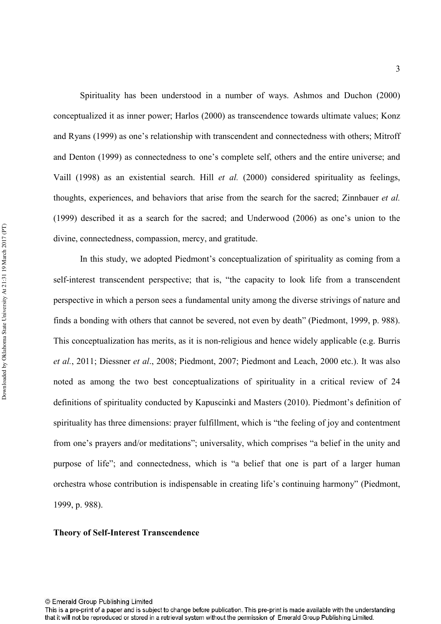Spirituality has been understood in a number of ways. Ashmos and Duchon (2000) conceptualized it as inner power; Harlos (2000) as transcendence towards ultimate values; Konz and Ryans (1999) as one's relationship with transcendent and connectedness with others; Mitroff and Denton (1999) as connectedness to one's complete self, others and the entire universe; and Vaill (1998) as an existential search. Hill *et al.* (2000) considered spirituality as feelings, thoughts, experiences, and behaviors that arise from the search for the sacred; Zinnbauer *et al.* (1999) described it as a search for the sacred; and Underwood (2006) as one's union to the divine, connectedness, compassion, mercy, and gratitude.

In this study, we adopted Piedmont's conceptualization of spirituality as coming from a self-interest transcendent perspective; that is, "the capacity to look life from a transcendent perspective in which a person sees a fundamental unity among the diverse strivings of nature and finds a bonding with others that cannot be severed, not even by death" (Piedmont, 1999, p. 988). This conceptualization has merits, as it is non-religious and hence widely applicable (e.g. Burris et al., 2011; Diessner et al., 2008; Piedmont, 2007; Piedmont and Leach, 2000 etc.). It was also noted as among the two best conceptualizations of spirituality in a critical review of 24 definitions of spirituality conducted by Kapuscinki and Masters (2010). Piedmont's definition of spirituality has three dimensions: prayer fulfillment, which is "the feeling of joy and contentment from one's prayers and/or meditations"; universality, which comprises "a belief in the unity and purpose of life"; and connectedness, which is "a belief that one is part of a larger human orchestra whose contribution is indispensable in creating life's continuing harmony" (Piedmont, 1999, p. 988).

#### **Theory of Self-Interest Transcendence**

This is a pre-print of a paper and is subject to change before publication. This pre-print is made available with the understanding that it will not be reproduced or stored in a retrieval system without the permission of Emerald Group Publishing Limited.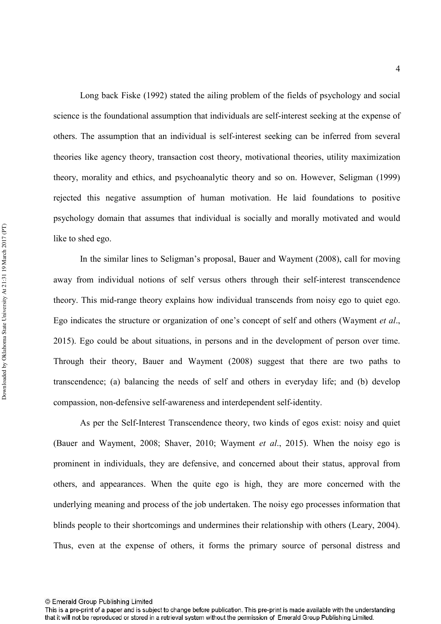Long back Fiske (1992) stated the ailing problem of the fields of psychology and social science is the foundational assumption that individuals are self-interest seeking at the expense of others. The assumption that an individual is selfinterest seeking can be inferred from several theories like agency theory, transaction cost theory, motivational theories, utility maximization theory, morality and ethics, and psychoanalytic theory and so on. However, Seligman (1999) rejected this negative assumption of human motivation. He laid foundations to positive psychology domain that assumes that individual is socially and morally motivated and would like to shed ego.

In the similar lines to Seligman's proposal, Bauer and Wayment (2008), call for moving away from individual notions of self versus others through their self-interest transcendence theory. This mid-range theory explains how individual transcends from noisy ego to quiet ego. Ego indicates the structure or organization of one's concept of self and others (Wayment *et al.*, 2015). Ego could be about situations, in persons and in the development of person over time. Through their theory, Bauer and Wayment (2008) suggest that there are two paths to transcendence; (a) balancing the needs of self and others in everyday life; and (b) develop compassion, non-defensive self-awareness and interdependent self-identity.

As per the Self-Interest Transcendence theory, two kinds of egos exist: noisy and quiet (Bauer and Wayment, 2008; Shaver, 2010; Wayment *et al.*, 2015). When the noisy ego is prominent in individuals, they are defensive, and concerned about their status, approval from others, and appearances. When the quite ego is high, they are more concerned with the underlying meaning and process of the job undertaken. The noisy ego processes information that blinds people to their shortcomings and undermines their relationship with others (Leary, 2004). Thus, even at the expense of others, it forms the primary source of personal distress and

<sup>©</sup> Emerald Group Publishing Limited

This is a pre-print of a paper and is subject to change before publication. This pre-print is made available with the understanding that it will not be reproduced or stored in a retrieval system without the permission of Emerald Group Publishing Limited.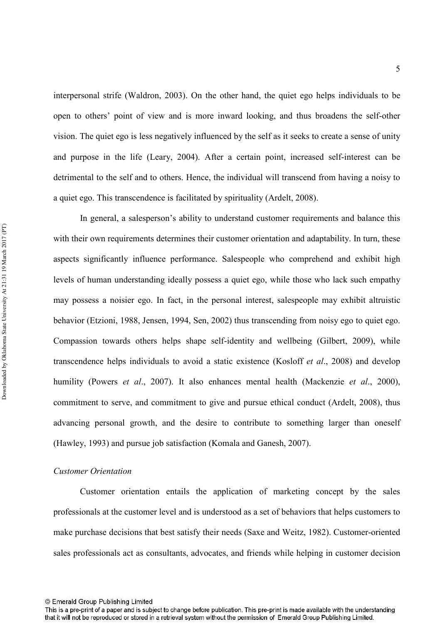interpersonal strife (Waldron, 2003). On the other hand, the quiet ego helps individuals to be open to others' point of view and is more inward looking, and thus broadens the self-other vision. The quiet ego is less negatively influenced by the self as it seeks to create a sense of unity and purpose in the life (Leary, 2004). After a certain point, increased self-interest can be detrimental to the self and to others. Hence, the individual will transcend from having a noisy to a quiet ego. This transcendence is facilitated by spirituality (Ardelt, 2008).

In general, a salesperson's ability to understand customer requirements and balance this with their own requirements determines their customer orientation and adaptability. In turn, these aspects significantly influence performance. Salespeople who comprehend and exhibit high levels of human understanding ideally possess a quiet ego, while those who lack such empathy may possess a noisier ego. In fact, in the personal interest, salespeople may exhibit altruistic behavior (Etzioni, 1988, Jensen, 1994, Sen, 2002) thus transcending from noisy ego to quiet ego. Compassion towards others helps shape self-identity and wellbeing (Gilbert, 2009), while transcendence helps individuals to avoid a static existence (Kosloff *et al.*, 2008) and develop humility (Powers *et al.*, 2007). It also enhances mental health (Mackenzie *et al.*, 2000), commitment to serve, and commitment to give and pursue ethical conduct (Ardelt, 2008), thus advancing personal growth, and the desire to contribute to something larger than oneself (Hawley, 1993) and pursue job satisfaction (Komala and Ganesh, 2007).

#### $C$ *ustomer Orientation*

Customer orientation entails the application of marketing concept by the sales professionals at the customer level and is understood as a set of behaviors that helps customers to make purchase decisions that best satisfy their needs (Saxe and Weitz, 1982). Customer-oriented sales professionals act as consultants, advocates, and friends while helping in customer decision

<sup>©</sup> Emerald Group Publishing Limited

This is a pre-print of a paper and is subject to change before publication. This pre-print is made available with the understanding that it will not be reproduced or stored in a retrieval system without the permission of Emerald Group Publishing Limited.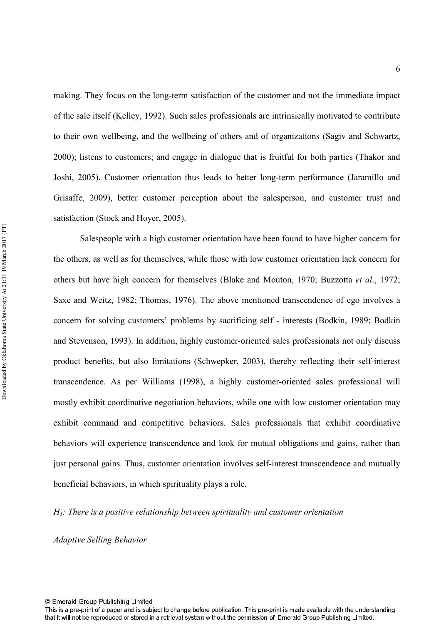making. They focus on the long-term satisfaction of the customer and not the immediate impact of the sale itself (Kelley, 1992). Such sales professionals are intrinsically motivated to contribute to their own wellbeing, and the wellbeing of others and of organizations (Sagiv and Schwartz, 2000); listens to customers; and engage in dialogue that is fruitful for both parties (Thakor and Joshi, 2005). Customer orientation thus leads to better long-term performance (Jaramillo and Grisaffe, 2009), better customer perception about the salesperson, and customer trust and satisfaction (Stock and Hoyer, 2005).

Salespeople with a high customer orientation have been found to have higher concern for the others, as well as for themselves, while those with low customer orientation lack concern for others but have high concern for themselves (Blake and Mouton, 1970; Buzzotta *et al.*, 1972; Saxe and Weitz, 1982; Thomas, 1976). The above mentioned transcendence of ego involves a concern for solving customers' problems by sacrificing self interests (Bodkin, 1989; Bodkin and Stevenson, 1993). In addition, highly customer-oriented sales professionals not only discuss product benefits, but also limitations (Schwepker, 2003), thereby reflecting their self-interest transcendence. As per Williams (1998), a highly customer-oriented sales professional will mostly exhibit coordinative negotiation behaviors, while one with low customer orientation may exhibit command and competitive behaviors. Sales professionals that exhibit coordinative behaviors will experience transcendence and look for mutual obligations and gains, rather than just personal gains. Thus, customer orientation involves self-interest transcendence and mutually beneficial behaviors, in which spirituality plays a role.

*H*<sub>1</sub>: There is a positive relationship between spirituality and customer orientation

*-* 

This is a pre-print of a paper and is subject to change before publication. This pre-print is made available with the understanding that it will not be reproduced or stored in a retrieval system without the permission of Emerald Group Publishing Limited.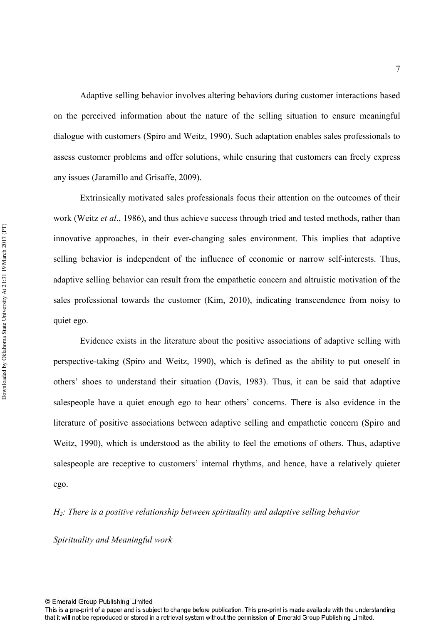Adaptive selling behavior involves altering behaviors during customer interactions based on the perceived information about the nature of the selling situation to ensure meaningful dialogue with customers (Spiro and Weitz, 1990). Such adaptation enables sales professionals to assess customer problems and offer solutions, while ensuring that customers can freely express any issues (Jaramillo and Grisaffe, 2009).

Extrinsically motivated sales professionals focus their attention on the outcomes of their work (Weitz et al., 1986), and thus achieve success through tried and tested methods, rather than innovative approaches, in their ever-changing sales environment. This implies that adaptive selling behavior is independent of the influence of economic or narrow self-interests. Thus, adaptive selling behavior can result from the empathetic concern and altruistic motivation of the sales professional towards the customer (Kim, 2010), indicating transcendence from noisy to quiet ego.

Evidence exists in the literature about the positive associations of adaptive selling with perspective-taking (Spiro and Weitz, 1990), which is defined as the ability to put oneself in others' shoes to understand their situation (Davis, 1983). Thus, it can be said that adaptive salespeople have a quiet enough ego to hear others' concerns. There is also evidence in the literature of positive associations between adaptive selling and empathetic concern (Spiro and Weitz, 1990), which is understood as the ability to feel the emotions of others. Thus, adaptive salespeople are receptive to customers' internal rhythms, and hence, have a relatively quieter ego.

 $H_2$ : There is a positive relationship between spirituality and adaptive selling behavior

*Spirituality and Meaningful work* 

<sup>©</sup> Emerald Group Publishing Limited

This is a pre-print of a paper and is subject to change before publication. This pre-print is made available with the understanding that it will not be reproduced or stored in a retrieval system without the permission of Emerald Group Publishing Limited.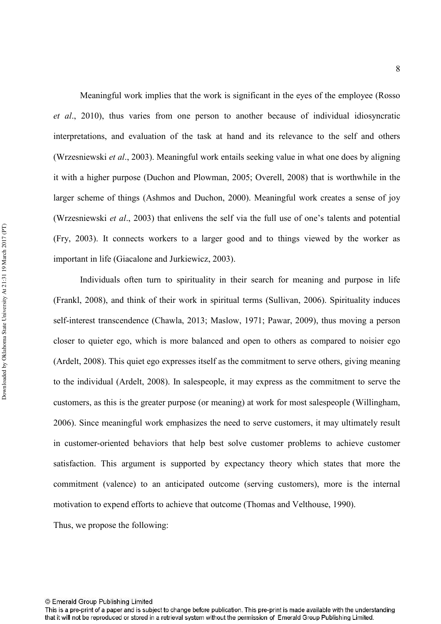Meaningful work implies that the work is significant in the eyes of the employee (Rosso et al., 2010), thus varies from one person to another because of individual idiosyncratic interpretations, and evaluation of the task at hand and its relevance to the self and others (Wrzesniewski et al., 2003). Meaningful work entails seeking value in what one does by aligning it with a higher purpose (Duchon and Plowman, 2005; Overell, 2008) that is worthwhile in the larger scheme of things (Ashmos and Duchon, 2000). Meaningful work creates a sense of joy (Wrzesniewski *et al.*, 2003) that enlivens the self via the full use of one's talents and potential (Fry, 2003). It connects workers to a larger good and to things viewed by the worker as important in life (Giacalone and Jurkiewicz, 2003).

Individuals often turn to spirituality in their search for meaning and purpose in life (Frankl, 2008), and think of their work in spiritual terms (Sullivan, 2006). Spirituality induces self-interest transcendence (Chawla, 2013; Maslow, 1971; Pawar, 2009), thus moving a person closer to quieter ego, which is more balanced and open to others as compared to noisier ego (Ardelt, 2008). This quiet ego expresses itself as the commitment to serve others, giving meaning to the individual (Ardelt, 2008). In salespeople, it may express as the commitment to serve the customers, as this is the greater purpose (or meaning) at work for most salespeople (Willingham, 2006). Since meaningful work emphasizes the need to serve customers, it may ultimately result in customer-oriented behaviors that help best solve customer problems to achieve customer satisfaction. This argument is supported by expectancy theory which states that more the commitment (valence) to an anticipated outcome (serving customers), more is the internal motivation to expend efforts to achieve that outcome (Thomas and Velthouse, 1990).

Thus, we propose the following:

This is a pre-print of a paper and is subject to change before publication. This pre-print is made available with the understanding that it will not be reproduced or stored in a retrieval system without the permission of Emerald Group Publishing Limited.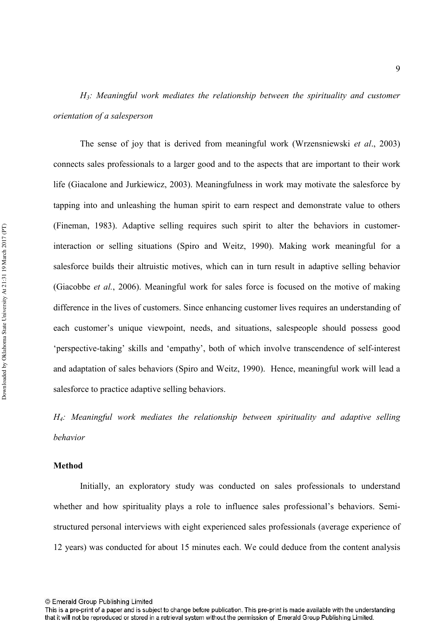*H*<sub>3</sub>: Meaningful work mediates the relationship between the spirituality and customer *crientation of a salesperson* 

The sense of joy that is derived from meaningful work (Wrzensniewski *et al.*, 2003) connects sales professionals to a larger good and to the aspects that are important to their work life (Giacalone and Jurkiewicz, 2003). Meaningfulness in work may motivate the salesforce by tapping into and unleashing the human spirit to earn respect and demonstrate value to others (Fineman, 1983). Adaptive selling requires such spirit to alter the behaviors in customer interaction or selling situations (Spiro and Weitz, 1990). Making work meaningful for a salesforce builds their altruistic motives, which can in turn result in adaptive selling behavior (Giacobbe *et al.*, 2006). Meaningful work for sales force is focused on the motive of making difference in the lives of customers. Since enhancing customer lives requires an understanding of each customer's unique viewpoint, needs, and situations, salespeople should possess good 'perspective-taking' skills and 'empathy', both of which involve transcendence of self-interest and adaptation of sales behaviors (Spiro and Weitz, 1990). Hence, meaningful work will lead a salesforce to practice adaptive selling behaviors.

*H*<sub>4</sub>: Meaningful work mediates the relationship between spirituality and adaptive selling 

#### **'**

Initially, an exploratory study was conducted on sales professionals to understand whether and how spirituality plays a role to influence sales professional's behaviors. Semi structured personal interviews with eight experienced sales professionals (average experience of 12 years) was conducted for about 15 minutes each. We could deduce from the content analysis

9

<sup>©</sup> Emerald Group Publishing Limited

This is a pre-print of a paper and is subject to change before publication. This pre-print is made available with the understanding that it will not be reproduced or stored in a retrieval system without the permission of Emerald Group Publishing Limited.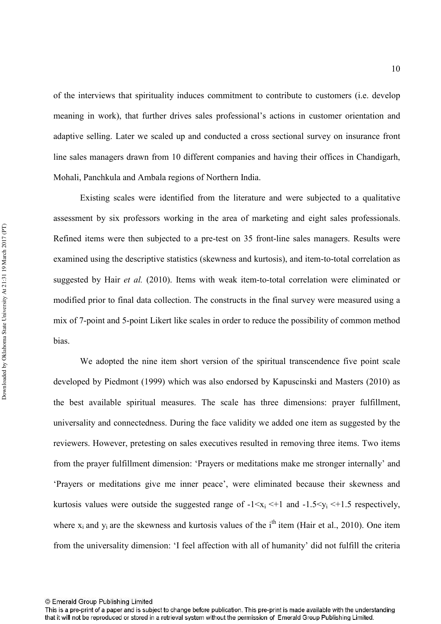of the interviews that spirituality induces commitment to contribute to customers (i.e. develop meaning in work), that further drives sales professional's actions in customer orientation and adaptive selling. Later we scaled up and conducted a cross sectional survey on insurance front line sales managers drawn from 10 different companies and having their offices in Chandigarh, Mohali, Panchkula and Ambala regions of Northern India.

Existing scales were identified from the literature and were subjected to a qualitative assessment by six professors working in the area of marketing and eight sales professionals. Refined items were then subjected to a pre-test on 35 front-line sales managers. Results were examined using the descriptive statistics (skewness and kurtosis), and item-to-total correlation as suggested by Hair et al. (2010). Items with weak item-to-total correlation were eliminated or modified prior to final data collection. The constructs in the final survey were measured using a mix of 7-point and 5-point Likert like scales in order to reduce the possibility of common method bias.

We adopted the nine item short version of the spiritual transcendence five point scale developed by Piedmont (1999) which was also endorsed by Kapuscinski and Masters (2010) as the best available spiritual measures. The scale has three dimensions: prayer fulfillment, universality and connectedness. During the face validity we added one item as suggested by the reviewers. However, pretesting on sales executives resulted in removing three items. Two items from the prayer fulfillment dimension: 'Prayers or meditations make me stronger internally' and 'Prayers or meditations give me inner peace', were eliminated because their skewness and kurtosis values were outside the suggested range of  $-1 \le x_i \le +1$  and  $-1.5 \le y_i \le +1.5$  respectively, where  $x_i$  and  $y_i$  are the skewness and kurtosis values of the i<sup>th</sup> item (Hair et al., 2010). One item from the universality dimension: 'I feel affection with all of humanity' did not fulfill the criteria

<sup>©</sup> Emerald Group Publishing Limited

This is a pre-print of a paper and is subject to change before publication. This pre-print is made available with the understanding that it will not be reproduced or stored in a retrieval system without the permission of Emerald Group Publishing Limited.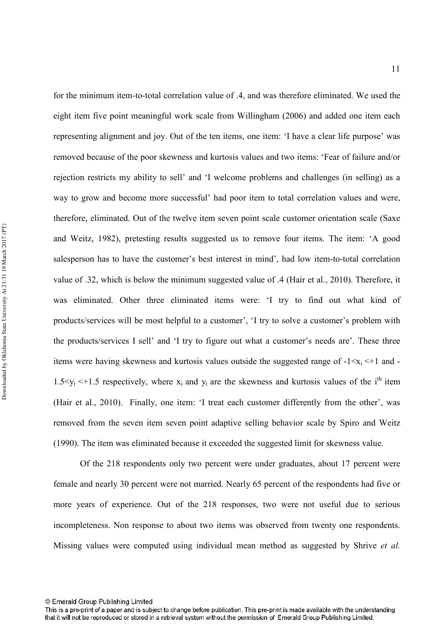for the minimum item-to-total correlation value of .4, and was therefore eliminated. We used the eight item five point meaningful work scale from Willingham (2006) and added one item each representing alignment and joy. Out of the ten items, one item: 'I have a clear life purpose' was removed because of the poor skewness and kurtosis values and two items: 'Fear of failure and/or rejection restricts my ability to sell' and 'I welcome problems and challenges (in selling) as a way to grow and become more successful' had poor item to total correlation values and were, therefore, eliminated. Out of the twelve item seven point scale customer orientation scale (Saxe and Weitz, 1982), pretesting results suggested us to remove four items. The item: 'A good salesperson has to have the customer's best interest in mind', had low item-to-total correlation value of .32, which is below the minimum suggested value of .4 (Hair et al., 2010). Therefore, it was eliminated. Other three eliminated items were: 'I try to find out what kind of products/services will be most helpful to a customer', 'I try to solve a customer's problem with the products/services I sell' and 'I try to figure out what a customer's needs are'. These three items were having skewness and kurtosis values outside the suggested range of  $-1 \le x_i \le +1$  and  $-$ 1.5 $\leq$ y<sub>i</sub>  $\leq$ +1.5 respectively, where x<sub>i</sub> and y<sub>i</sub> are the skewness and kurtosis values of the i<sup>th</sup> item (Hair et al., 2010). Finally, one item: 'I treat each customer differently from the other', was removed from the seven item seven point adaptive selling behavior scale by Spiro and Weitz (1990). The item was eliminated because it exceeded the suggested limit for skewness value.

Of the 218 respondents only two percent were under graduates, about 17 percent were female and nearly 30 percent were not married. Nearly 65 percent of the respondents had five or more years of experience. Out of the 218 responses, two were not useful due to serious incompleteness. Non response to about two items was observed from twenty one respondents. Missing values were computed using individual mean method as suggested by Shrive et al.

<sup>©</sup> Emerald Group Publishing Limited

This is a pre-print of a paper and is subject to change before publication. This pre-print is made available with the understanding that it will not be reproduced or stored in a retrieval system without the permission of Emerald Group Publishing Limited.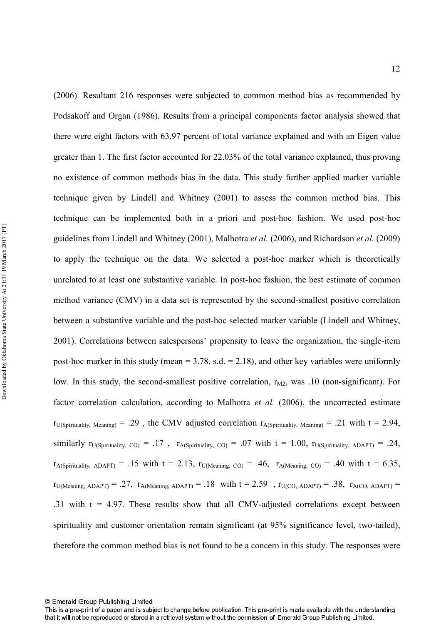(2006). Resultant 216 responses were subjected to common method bias as recommended by Podsakoff and Organ (1986). Results from a principal components factor analysis showed that there were eight factors with 63.97 percent of total variance explained and with an Eigen value greater than 1. The first factor accounted for 22.03% of the total variance explained, thus proving no existence of common methods bias in the data. This study further applied marker variable technique given by Lindell and Whitney (2001) to assess the common method bias. This technique can be implemented both in a priori and posthoc fashion. We used posthoc guidelines from Lindell and Whitney (2001), Malhotra *et al.* (2006), and Richardson *et al.* (2009) to apply the technique on the data. We selected a posthoc marker which is theoretically unrelated to at least one substantive variable. In post-hoc fashion, the best estimate of common method variance (CMV) in a data set is represented by the second-smallest positive correlation between a substantive variable and the post-hoc selected marker variable (Lindell and Whitney, 2001). Correlations between salespersons' propensity to leave the organization, the single-item post-hoc marker in this study (mean  $= 3.78$ , s.d.  $= 2.18$ ), and other key variables were uniformly low. In this study, the second-smallest positive correlation, r<sub>M2</sub>, was .10 (non-significant). For factor correlation calculation, according to Malhotra *et al.* (2006), the uncorrected estimate  $r_{U(Sipirituality, Meaning)} = .29$ , the CMV adjusted correlation  $r_{A(Sipirituality, Meaning)} = .21$  with  $t = 2.94$ , similarly  $r_{U(Sipirituality, CO)} = .17$ ,  $r_{A(Sipirituality, CO)} = .07$  with  $t = 1.00$ ,  $r_{U(Sipirituality, ADAPT)} = .24$ ,  $r_{A(Sipirituality, ADAPT)} = .15$  with t = 2.13,  $r_{U(Meaning, CO)} = .46$ ,  $r_{A(Meaning, CO)} = .40$  with t = 6.35,  $r_{U(Meaning, ADAPT)} = .27$ ,  $r_{A(Meaning, ADAPT)} = .18$  with  $t = 2.59$ ,  $r_{U(CO, ADAPT)} = .38$ ,  $r_{A(CO, ADAPT)} = .38$ .31 with  $t = 4.97$ . These results show that all CMV-adjusted correlations except between spirituality and customer orientation remain significant (at 95% significance level, two-tailed), therefore the common method bias is not found to be a concern in this study. The responses were

<sup>©</sup> Emerald Group Publishing Limited

This is a pre-print of a paper and is subject to change before publication. This pre-print is made available with the understanding that it will not be reproduced or stored in a retrieval system without the permission of Emerald Group Publishing Limited.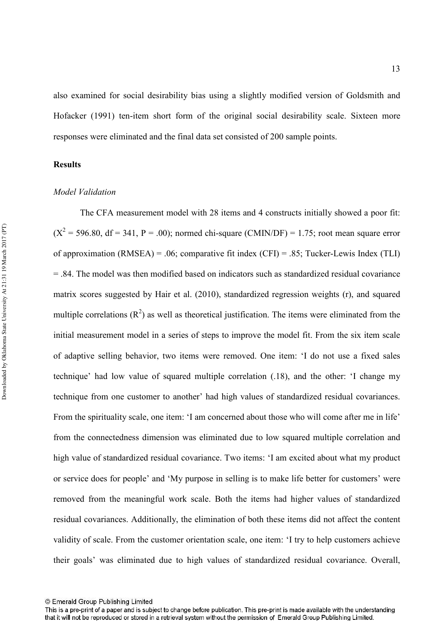also examined for social desirability bias using a slightly modified version of Goldsmith and Hofacker (1991) ten-item short form of the original social desirability scale. Sixteen more responses were eliminated and the final data set consisted of 200 sample points.

#### **Results**

#### *Model Validation*

The CFA measurement model with 28 items and 4 constructs initially showed a poor fit:  $(X^2 = 596.80, df = 341, P = .00)$ ; normed chi-square (CMIN/DF) = 1.75; root mean square error of approximation (RMSEA) = .06; comparative fit index (CFI) = .85; Tucker-Lewis Index (TLI)  $= 0.84$ . The model was then modified based on indicators such as standardized residual covariance matrix scores suggested by Hair et al. (2010), standardized regression weights (r), and squared multiple correlations  $(R^2)$  as well as theoretical justification. The items were eliminated from the initial measurement model in a series of steps to improve the model fit. From the six item scale of adaptive selling behavior, two items were removed. One item: 'I do not use a fixed sales technique' had low value of squared multiple correlation (.18), and the other: 'I change my technique from one customer to another' had high values of standardized residual covariances. From the spirituality scale, one item: 'I am concerned about those who will come after me in life' from the connectedness dimension was eliminated due to low squared multiple correlation and high value of standardized residual covariance. Two items: 'I am excited about what my product or service does for people' and 'My purpose in selling is to make life better for customers' were removed from the meaningful work scale. Both the items had higher values of standardized residual covariances. Additionally, the elimination of both these items did not affect the content validity of scale. From the customer orientation scale, one item: 'I try to help customers achieve their goals' was eliminated due to high values of standardized residual covariance. Overall,

<sup>©</sup> Emerald Group Publishing Limited

This is a pre-print of a paper and is subject to change before publication. This pre-print is made available with the understanding that it will not be reproduced or stored in a retrieval system without the permission of Emerald Group Publishing Limited.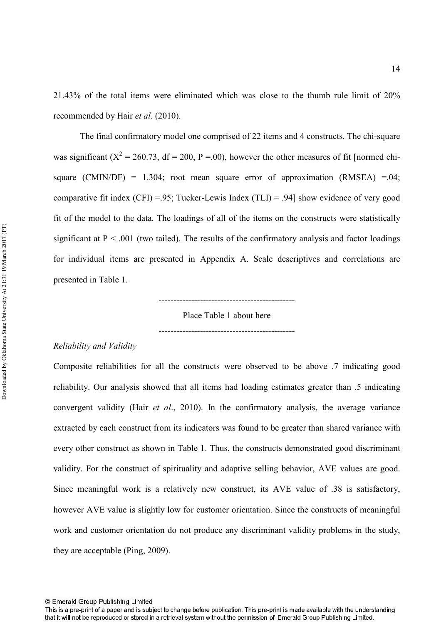21.43% of the total items were eliminated which was close to the thumb rule limit of 20% recommended by Hair *et al.* (2010).

The final confirmatory model one comprised of 22 items and 4 constructs. The chi-square was significant ( $X^2 = 260.73$ , df = 200, P = 00), however the other measures of fit [normed chisquare (CMIN/DF) = 1.304; root mean square error of approximation (RMSEA) =.04; comparative fit index  $(CFI) = .95$ ; Tucker-Lewis Index  $(TLI) = .94$ ] show evidence of very good fit of the model to the data. The loadings of all of the items on the constructs were statistically significant at  $P < .001$  (two tailed). The results of the confirmatory analysis and factor loadings for individual items are presented in Appendix A. Scale descriptives and correlations are presented in Table 1.

Place Table 1 about here 

#### *Reliability and Validity*

Composite reliabilities for all the constructs were observed to be above .7 indicating good reliability. Our analysis showed that all items had loading estimates greater than .5 indicating convergent validity (Hair *et al.*, 2010). In the confirmatory analysis, the average variance extracted by each construct from its indicators was found to be greater than shared variance with every other construct as shown in Table 1. Thus, the constructs demonstrated good discriminant validity. For the construct of spirituality and adaptive selling behavior, AVE values are good. Since meaningful work is a relatively new construct, its AVE value of .38 is satisfactory, however AVE value is slightly low for customer orientation. Since the constructs of meaningful work and customer orientation do not produce any discriminant validity problems in the study, they are acceptable (Ping, 2009).

<sup>©</sup> Emerald Group Publishing Limited

This is a pre-print of a paper and is subject to change before publication. This pre-print is made available with the understanding that it will not be reproduced or stored in a retrieval system without the permission of Emerald Group Publishing Limited.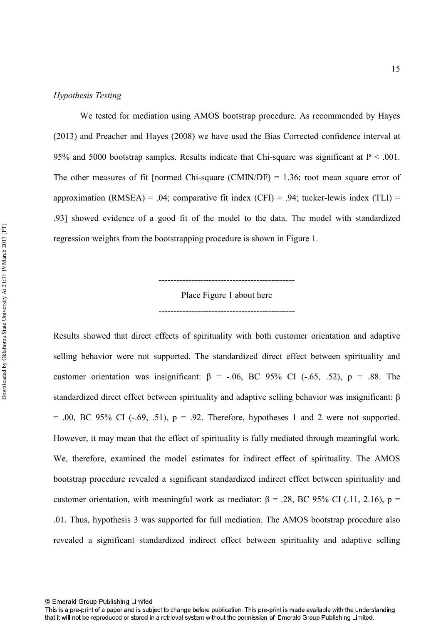#### *Hypothesis Testing*

We tested for mediation using AMOS bootstrap procedure. As recommended by Hayes (2013) and Preacher and Hayes (2008) we have used the Bias Corrected confidence interval at 95% and 5000 bootstrap samples. Results indicate that Chi-square was significant at  $P < .001$ . The other measures of fit [normed Chi-square (CMIN/DF) =  $1.36$ ; root mean square error of approximation (RMSEA) = .04; comparative fit index (CFI) = .94; tucker-lewis index (TLI) = .93] showed evidence of a good fit of the model to the data. The model with standardized regression weights from the bootstrapping procedure is shown in Figure 1.

Place Figure 1 about here 

Results showed that direct effects of spirituality with both customer orientation and adaptive selling behavior were not supported. The standardized direct effect between spirituality and customer orientation was insignificant:  $\beta$  = -.06, BC 95% CI (-.65, .52), p = .88. The standardized direct effect between spirituality and adaptive selling behavior was insignificant: β  $= .00$ , BC 95% CI ( $-.69, .51$ ),  $p = .92$ . Therefore, hypotheses 1 and 2 were not supported. However, it may mean that the effect of spirituality is fully mediated through meaningful work. We, therefore, examined the model estimates for indirect effect of spirituality. The AMOS bootstrap procedure revealed a significant standardized indirect effect between spirituality and customer orientation, with meaningful work as mediator:  $β = .28$ , BC 95% CI (.11, 2.16),  $p =$ .01. Thus, hypothesis 3 was supported for full mediation. The AMOS bootstrap procedure also revealed a significant standardized indirect effect between spirituality and adaptive selling

This is a pre-print of a paper and is subject to change before publication. This pre-print is made available with the understanding that it will not be reproduced or stored in a retrieval system without the permission of Emerald Group Publishing Limited.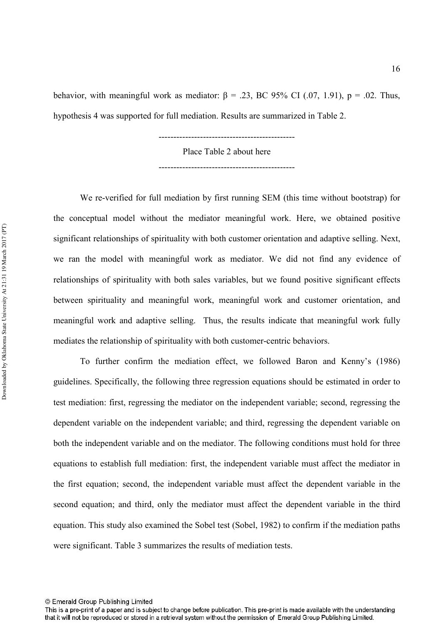behavior, with meaningful work as mediator:  $\beta$  = .23, BC 95% CI (.07, 1.91), p = .02. Thus, hypothesis 4 was supported for full mediation. Results are summarized in Table 2.

Place Table 2 about here

We re-verified for full mediation by first running SEM (this time without bootstrap) for the conceptual model without the mediator meaningful work. Here, we obtained positive significant relationships of spirituality with both customer orientation and adaptive selling. Next, we ran the model with meaningful work as mediator. We did not find any evidence of relationships of spirituality with both sales variables, but we found positive significant effects between spirituality and meaningful work, meaningful work and customer orientation, and meaningful work and adaptive selling. Thus, the results indicate that meaningful work fully mediates the relationship of spirituality with both customer-centric behaviors.

To further confirm the mediation effect, we followed Baron and Kenny's (1986) guidelines. Specifically, the following three regression equations should be estimated in order to test mediation: first, regressing the mediator on the independent variable; second, regressing the dependent variable on the independent variable; and third, regressing the dependent variable on both the independent variable and on the mediator. The following conditions must hold for three equations to establish full mediation: first, the independent variable must affect the mediator in the first equation; second, the independent variable must affect the dependent variable in the second equation; and third, only the mediator must affect the dependent variable in the third equation. This study also examined the Sobel test (Sobel, 1982) to confirm if the mediation paths were significant. Table 3 summarizes the results of mediation tests.

<sup>©</sup> Emerald Group Publishing Limited

This is a pre-print of a paper and is subject to change before publication. This pre-print is made available with the understanding that it will not be reproduced or stored in a retrieval system without the permission of Emerald Group Publishing Limited.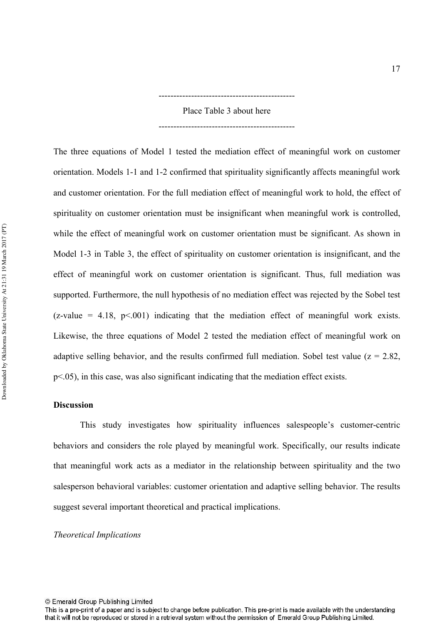Place Table 3 about here 

The three equations of Model 1 tested the mediation effect of meaningful work on customer orientation. Models 11 and 12 confirmed that spirituality significantly affects meaningful work and customer orientation. For the full mediation effect of meaningful work to hold, the effect of spirituality on customer orientation must be insignificant when meaningful work is controlled, while the effect of meaningful work on customer orientation must be significant. As shown in Model 1-3 in Table 3, the effect of spirituality on customer orientation is insignificant, and the effect of meaningful work on customer orientation is significant. Thus, full mediation was supported. Furthermore, the null hypothesis of no mediation effect was rejected by the Sobel test (z-value = 4.18,  $p\leq 0.001$ ) indicating that the mediation effect of meaningful work exists. Likewise, the three equations of Model 2 tested the mediation effect of meaningful work on adaptive selling behavior, and the results confirmed full mediation. Sobel test value ( $z = 2.82$ , p<.05), in this case, was also significant indicating that the mediation effect exists.

#### **Discussion**

This study investigates how spirituality influences salespeople's customer-centric behaviors and considers the role played by meaningful work. Specifically, our results indicate that meaningful work acts as a mediator in the relationship between spirituality and the two salesperson behavioral variables: customer orientation and adaptive selling behavior. The results suggest several important theoretical and practical implications.

#### *Theoretical Implications*

<sup>©</sup> Emerald Group Publishing Limited

This is a pre-print of a paper and is subject to change before publication. This pre-print is made available with the understanding that it will not be reproduced or stored in a retrieval system without the permission of Emerald Group Publishing Limited.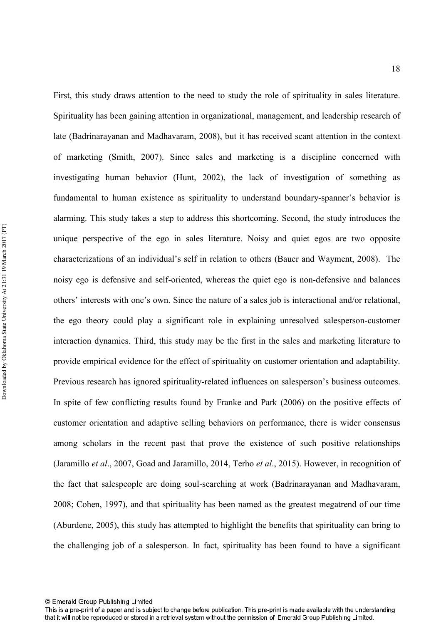First, this study draws attention to the need to study the role of spirituality in sales literature. Spirituality has been gaining attention in organizational, management, and leadership research of late (Badrinarayanan and Madhavaram, 2008), but it has received scant attention in the context of marketing (Smith, 2007). Since sales and marketing is a discipline concerned with investigating human behavior (Hunt, 2002), the lack of investigation of something as fundamental to human existence as spirituality to understand boundary-spanner's behavior is alarming. This study takes a step to address this shortcoming. Second, the study introduces the unique perspective of the ego in sales literature. Noisy and quiet egos are two opposite characterizations of an individual's self in relation to others (Bauer and Wayment, 2008). The noisy ego is defensive and self-oriented, whereas the quiet ego is non-defensive and balances others' interests with one's own. Since the nature of a sales job is interactional and/or relational, the ego theory could play a significant role in explaining unresolved salesperson-customer interaction dynamics. Third, this study may be the first in the sales and marketing literature to provide empirical evidence for the effect of spirituality on customer orientation and adaptability. Previous research has ignored spirituality-related influences on salesperson's business outcomes. In spite of few conflicting results found by Franke and Park (2006) on the positive effects of customer orientation and adaptive selling behaviors on performance, there is wider consensus among scholars in the recent past that prove the existence of such positive relationships (Jaramillo *et al.*, 2007, Goad and Jaramillo, 2014, Terho *et al.*, 2015). However, in recognition of the fact that salespeople are doing soul-searching at work (Badrinarayanan and Madhavaram, 2008; Cohen, 1997), and that spirituality has been named as the greatest megatrend of our time (Aburdene, 2005), this study has attempted to highlight the benefits that spirituality can bring to the challenging job of a salesperson. In fact, spirituality has been found to have a significant

<sup>©</sup> Emerald Group Publishing Limited

This is a pre-print of a paper and is subject to change before publication. This pre-print is made available with the understanding that it will not be reproduced or stored in a retrieval system without the permission of Emerald Group Publishing Limited.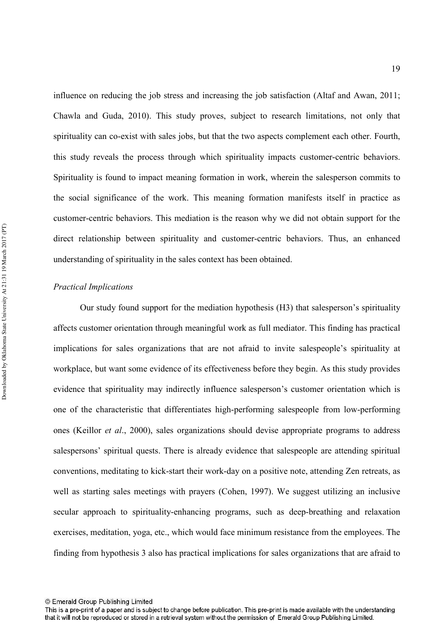influence on reducing the job stress and increasing the job satisfaction (Altaf and Awan, 2011; Chawla and Guda, 2010). This study proves, subject to research limitations, not only that spirituality can co-exist with sales jobs, but that the two aspects complement each other. Fourth, this study reveals the process through which spirituality impacts customer-centric behaviors. Spirituality is found to impact meaning formation in work, wherein the salesperson commits to the social significance of the work. This meaning formation manifests itself in practice as customer-centric behaviors. This mediation is the reason why we did not obtain support for the direct relationship between spirituality and customer-centric behaviors. Thus, an enhanced understanding of spirituality in the sales context has been obtained.

#### *Practical Implications*

Our study found support for the mediation hypothesis (H3) that salesperson's spirituality affects customer orientation through meaningful work as full mediator. This finding has practical implications for sales organizations that are not afraid to invite salespeople's spirituality at workplace, but want some evidence of its effectiveness before they begin. As this study provides evidence that spirituality may indirectly influence salesperson's customer orientation which is one of the characteristic that differentiates high-performing salespeople from low-performing ones (Keillor *et al.*, 2000), sales organizations should devise appropriate programs to address salespersons' spiritual quests. There is already evidence that salespeople are attending spiritual conventions, meditating to kick-start their work-day on a positive note, attending Zen retreats, as well as starting sales meetings with prayers (Cohen, 1997). We suggest utilizing an inclusive secular approach to spirituality-enhancing programs, such as deep-breathing and relaxation exercises, meditation, yoga, etc., which would face minimum resistance from the employees. The finding from hypothesis 3 also has practical implications for sales organizations that are afraid to

<sup>©</sup> Emerald Group Publishing Limited

This is a pre-print of a paper and is subject to change before publication. This pre-print is made available with the understanding that it will not be reproduced or stored in a retrieval system without the permission of Emerald Group Publishing Limited.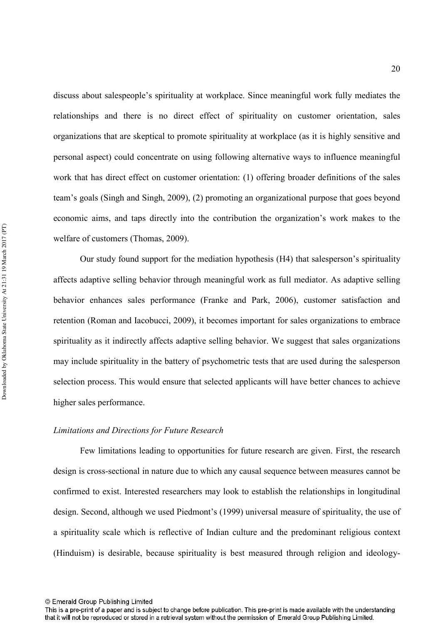discuss about salespeople's spirituality at workplace. Since meaningful work fully mediates the relationships and there is no direct effect of spirituality on customer orientation, sales organizations that are skeptical to promote spirituality at workplace (as it is highly sensitive and personal aspect) could concentrate on using following alternative ways to influence meaningful work that has direct effect on customer orientation: (1) offering broader definitions of the sales team's goals (Singh and Singh, 2009), (2) promoting an organizational purpose that goes beyond economic aims, and taps directly into the contribution the organization's work makes to the welfare of customers (Thomas, 2009).

Our study found support for the mediation hypothesis (H4) that salesperson's spirituality affects adaptive selling behavior through meaningful work as full mediator. As adaptive selling behavior enhances sales performance (Franke and Park, 2006), customer satisfaction and retention (Roman and Iacobucci, 2009), it becomes important for sales organizations to embrace spirituality as it indirectly affects adaptive selling behavior. We suggest that sales organizations may include spirituality in the battery of psychometric tests that are used during the salesperson selection process. This would ensure that selected applicants will have better chances to achieve higher sales performance.

#### Limitations and Directions for Future Research

Few limitations leading to opportunities for future research are given. First, the research design is cross-sectional in nature due to which any causal sequence between measures cannot be confirmed to exist. Interested researchers may look to establish the relationships in longitudinal design. Second, although we used Piedmont's (1999) universal measure of spirituality, the use of a spirituality scale which is reflective of Indian culture and the predominant religious context (Hinduism) is desirable, because spirituality is best measured through religion and ideology

<sup>©</sup> Emerald Group Publishing Limited

This is a pre-print of a paper and is subject to change before publication. This pre-print is made available with the understanding that it will not be reproduced or stored in a retrieval system without the permission of Emerald Group Publishing Limited.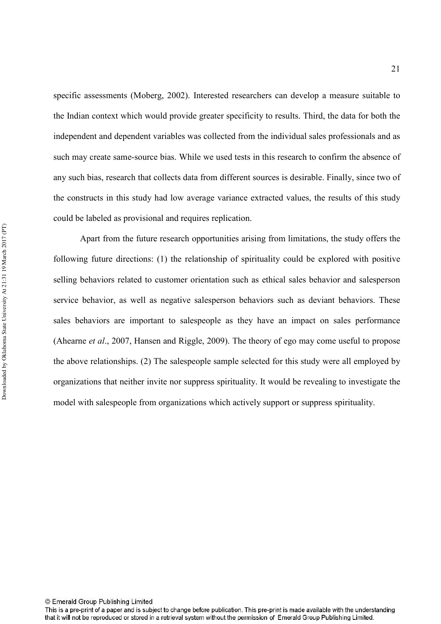specific assessments (Moberg, 2002). Interested researchers can develop a measure suitable to the Indian context which would provide greater specificity to results. Third, the data for both the independent and dependent variables was collected from the individual sales professionals and as such may create same-source bias. While we used tests in this research to confirm the absence of any such bias, research that collects data from different sources is desirable. Finally, since two of the constructs in this study had low average variance extracted values, the results of this study could be labeled as provisional and requires replication.

 Apart from the future research opportunities arising from limitations, the study offers the following future directions: (1) the relationship of spirituality could be explored with positive selling behaviors related to customer orientation such as ethical sales behavior and salesperson service behavior, as well as negative salesperson behaviors such as deviant behaviors. These sales behaviors are important to salespeople as they have an impact on sales performance (Ahearne *et al.*, 2007, Hansen and Riggle, 2009). The theory of ego may come useful to propose the above relationships. (2) The salespeople sample selected for this study were all employed by organizations that neither invite nor suppress spirituality. It would be revealing to investigate the model with salespeople from organizations which actively support or suppress spirituality.

This is a pre-print of a paper and is subject to change before publication. This pre-print is made available with the understanding that it will not be reproduced or stored in a retrieval system without the permission of Emerald Group Publishing Limited.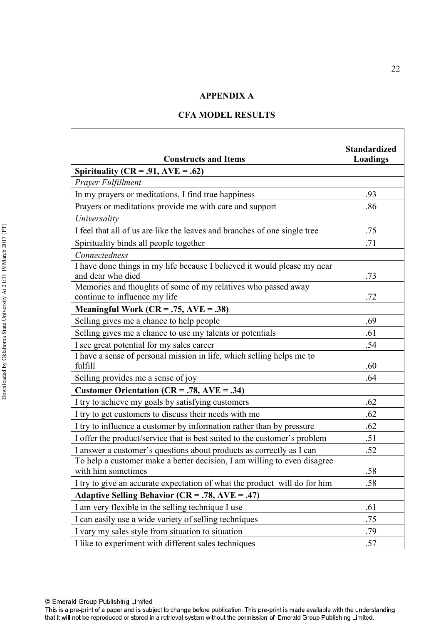#### **APPENDIX A**

| <b>Constructs and Items</b>                                                                    | <b>Standardized</b><br>Loadings |
|------------------------------------------------------------------------------------------------|---------------------------------|
| Spirituality ( $CR = .91$ , $AVE = .62$ )                                                      |                                 |
| Prayer Fulfillment                                                                             |                                 |
| In my prayers or meditations, I find true happiness                                            | .93                             |
| Prayers or meditations provide me with care and support                                        | .86                             |
| Universality                                                                                   |                                 |
| I feel that all of us are like the leaves and branches of one single tree                      | .75                             |
| Spirituality binds all people together                                                         | .71                             |
| Connectedness                                                                                  |                                 |
| I have done things in my life because I believed it would please my near<br>and dear who died  | .73                             |
| Memories and thoughts of some of my relatives who passed away<br>continue to influence my life | .72                             |
| Meaningful Work ( $CR = .75$ , $AVE = .38$ )                                                   |                                 |
| Selling gives me a chance to help people                                                       | .69                             |
| Selling gives me a chance to use my talents or potentials                                      | .61                             |
| I see great potential for my sales career                                                      | .54                             |
| I have a sense of personal mission in life, which selling helps me to<br>fulfill               | .60                             |
| Selling provides me a sense of joy                                                             | .64                             |
| <b>Customer Orientation (CR = .78, AVE = .34)</b>                                              |                                 |
| I try to achieve my goals by satisfying customers                                              | .62                             |
| I try to get customers to discuss their needs with me                                          | .62                             |
| I try to influence a customer by information rather than by pressure                           | .62                             |
| I offer the product/service that is best suited to the customer's problem                      | .51                             |
| I answer a customer's questions about products as correctly as I can                           | .52                             |
| To help a customer make a better decision, I am willing to even disagree<br>with him sometimes | .58                             |
| I try to give an accurate expectation of what the product will do for him                      | .58                             |
| Adaptive Selling Behavior ( $CR = .78$ , $AVE = .47$ )                                         |                                 |
| I am very flexible in the selling technique I use                                              | .61                             |
| I can easily use a wide variety of selling techniques                                          | .75                             |
| I vary my sales style from situation to situation                                              | .79                             |
| I like to experiment with different sales techniques                                           | .57                             |

#### **CFA MODEL RESULTS**

This is a pre-print of a paper and is subject to change before publication. This pre-print is made available with the understanding that it will not be reproduced or stored in a retrieval system without the permission of Emerald Group Publishing Limited.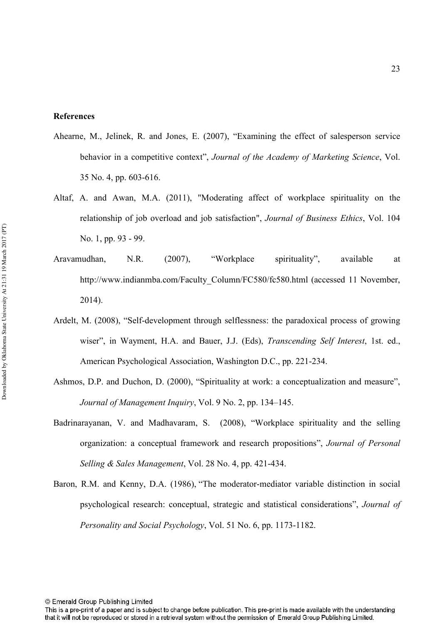#### **References**

- Ahearne, M., Jelinek, R. and Jones, E. (2007), "Examining the effect of salesperson service behavior in a competitive context", *Journal of the Academy of Marketing Science*, Vol.  $35$  No. 4, pp.  $603-616$ .
- Altaf, A. and Awan, M.A. (2011), "Moderating affect of workplace spirituality on the relationship of job overload and job satisfaction", *Journal of Business Ethics*, Vol. 104 No. 1, pp. 93 - 99.
- Aravamudhan, N.R. (2007), "Workplace spirituality", available at http://www.indianmba.com/Faculty\_Column/FC580/fc580.html (accessed 11 November, 2014).
- Ardelt, M. (2008), "Self-development through selflessness: the paradoxical process of growing wiser", in Wayment, H.A. and Bauer, J.J. (Eds), *Transcending Self Interest*, 1st. ed., American Psychological Association, Washington D.C., pp. 221-234.
- Ashmos, D.P. and Duchon, D. (2000), "Spirituality at work: a conceptualization and measure", *Journal of Management Inquiry*, Vol. 9 No. 2, pp. 134–145.
- Badrinarayanan, V. and Madhavaram, S. (2008), "Workplace spirituality and the selling organization: a conceptual framework and research propositions", *Journal of Personal Selling & Sales Management, Vol. 28 No. 4, pp. 421-434.*
- Baron, R.M. and Kenny, D.A. (1986), "The moderator-mediator variable distinction in social psychological research: conceptual, strategic and statistical considerations", *Journal of Personality and Social Psychology, Vol.* 51 No. 6, pp. 1173-1182.

This is a pre-print of a paper and is subject to change before publication. This pre-print is made available with the understanding that it will not be reproduced or stored in a retrieval system without the permission of Emerald Group Publishing Limited.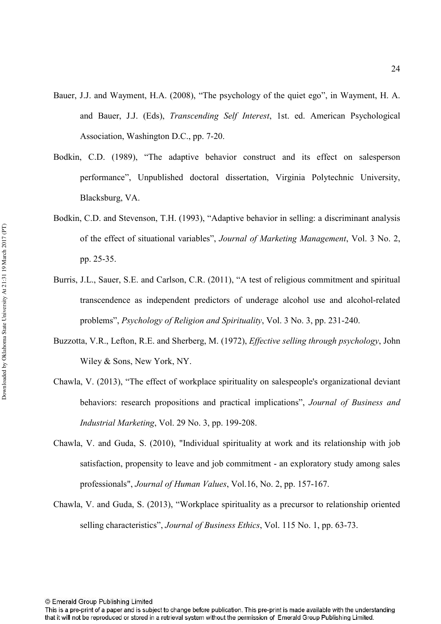- Bauer, J.J. and Wayment, H.A. (2008), "The psychology of the quiet ego", in Wayment, H. A. and Bauer, J.J. (Eds), *Transcending Self Interest*, 1st. ed. American Psychological Association, Washington D.C., pp. 7-20.
- Bodkin, C.D. (1989), "The adaptive behavior construct and its effect on salesperson performance", Unpublished doctoral dissertation, Virginia Polytechnic University, Blacksburg, VA.
- Bodkin, C.D. and Stevenson, T.H. (1993), "Adaptive behavior in selling: a discriminant analysis of the effect of situational variables", *Journal of Marketing Management*, Vol. 3 No. 2, pp. 25-35.
- Burris, J.L., Sauer, S.E. and Carlson, C.R. (2011), "A test of religious commitment and spiritual transcendence as independent predictors of underage alcohol use and alcoholrelated problems", *Psychology of Religion and Spirituality*, Vol. 3 No. 3, pp. 231-240.
- Buzzotta, V.R., Lefton, R.E. and Sherberg, M. (1972), *Effective selling through psychology*, John Wiley & Sons, New York, NY.
- Chawla, V. (2013), "The effect of workplace spirituality on salespeople's organizational deviant behaviors: research propositions and practical implications", Journal of Business and *Industrial Marketing*, Vol. 29 No. 3, pp. 199-208.
- Chawla, V. and Guda, S. (2010), "Individual spirituality at work and its relationship with job satisfaction, propensity to leave and job commitment - an exploratory study among sales professionals", *Journal of Human Values*, Vol.16, No. 2, pp. 157-167.
- Chawla, V. and Guda, S. (2013), "Workplace spirituality as a precursor to relationship oriented selling characteristics", *Journal of Business Ethics*, Vol. 115 No. 1, pp. 63-73.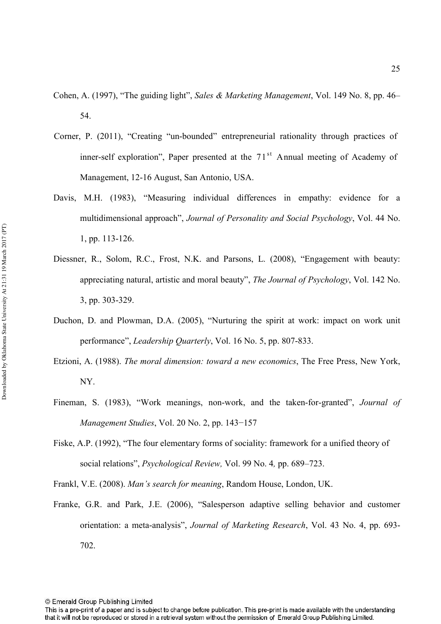- Cohen, A. (1997), "The guiding light", Sales & Marketing Management, Vol. 149 No. 8, pp. 46– 54.
- Corner, P. (2011), "Creating "un-bounded" entrepreneurial rationality through practices of inner-self exploration", Paper presented at the  $71<sup>st</sup>$  Annual meeting of Academy of Management, 12-16 August, San Antonio, USA.
- Davis, M.H. (1983), "Measuring individual differences in empathy: evidence for a multidimensional approach", *Journal of Personality and Social Psychology*, Vol. 44 No. 1, pp. 113-126.
- Diessner, R., Solom, R.C., Frost, N.K. and Parsons, L. (2008), "Engagement with beauty: appreciating natural, artistic and moral beauty", *The Journal of Psychology*, Vol. 142 No. 3, pp. 303-329.
- Duchon, D. and Plowman, D.A. (2005), "Nurturing the spirit at work: impact on work unit performance", *Leadership Quarterly*, Vol. 16 No. 5, pp. 807-833.
- Etzioni, A. (1988). *The moral dimension: toward a new economics*, The Free Press, New York, NY.
- Fineman, S. (1983), "Work meanings, non-work, and the taken-for-granted", *Journal of Management Studies, Vol. 20 No. 2, pp. 143-157*
- Fiske, A.P. (1992), "The four elementary forms of sociality: framework for a unified theory of social relations", *Psychological Review*, Vol. 99 No. 4, pp. 689–723.

Frankl, V.E. (2008). *Man's search for meaning*, Random House, London, UK.

Franke, G.R. and Park, J.E. (2006), "Salesperson adaptive selling behavior and customer orientation: a meta-analysis", *Journal of Marketing Research*, Vol. 43 No. 4, pp. 693-702.

This is a pre-print of a paper and is subject to change before publication. This pre-print is made available with the understanding that it will not be reproduced or stored in a retrieval system without the permission of Emerald Group Publishing Limited.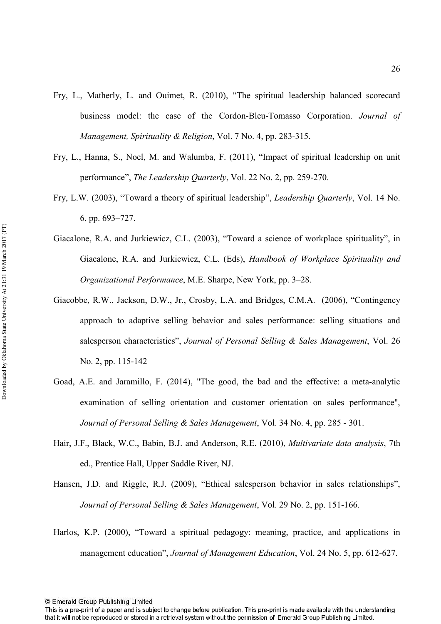- Fry, L., Matherly, L. and Ouimet, R. (2010), "The spiritual leadership balanced scorecard business model: the case of the Cordon-Bleu-Tomasso Corporation. *Journal of Management, Spirituality & Religion, Vol. 7 No. 4, pp. 283-315.*
- Fry, L., Hanna, S., Noel, M. and Walumba, F. (2011), "Impact of spiritual leadership on unit performance", *The Leadership Quarterly*, Vol. 22 No. 2, pp. 259-270.
- Fry, L.W. (2003), "Toward a theory of spiritual leadership", *Leadership Quarterly*, Vol. 14 No. 6, pp. 693–727.
- Giacalone, R.A. and Jurkiewicz, C.L. (2003), "Toward a science of workplace spirituality", in Giacalone, R.A. and Jurkiewicz, C.L. (Eds), *Handbook of Workplace Spirituality and* Organizational Performance, M.E. Sharpe, New York, pp. 3–28.
- Giacobbe, R.W., Jackson, D.W., Jr., Crosby, L.A. and Bridges, C.M.A. (2006), "Contingency approach to adaptive selling behavior and sales performance: selling situations and salesperson characteristics", *Journal of Personal Selling & Sales Management*, Vol. 26 No. 2, pp. 115-142
- Goad, A.E. and Jaramillo, F. (2014), "The good, the bad and the effective: a meta-analytic examination of selling orientation and customer orientation on sales performance", *Journal of Personal Selling & Sales Management, Vol. 34 No. 4, pp. 285 - 301.*
- Hair, J.F., Black, W.C., Babin, B.J. and Anderson, R.E. (2010), *Multivariate data analysis*, 7th ed., Prentice Hall, Upper Saddle River, NJ.
- Hansen, J.D. and Riggle, R.J. (2009), "Ethical salesperson behavior in sales relationships", *Journal of Personal Selling & Sales Management, Vol. 29 No. 2, pp. 151-166.*
- Harlos, K.P. (2000), "Toward a spiritual pedagogy: meaning, practice, and applications in management education", *Journal of Management Education*, Vol. 24 No. 5, pp. 612-627.

This is a pre-print of a paper and is subject to change before publication. This pre-print is made available with the understanding that it will not be reproduced or stored in a retrieval system without the permission of Emerald Group Publishing Limited.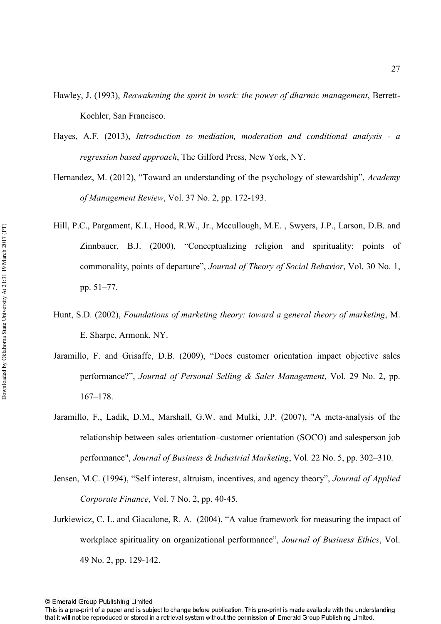- Hawley, J. (1993), *Reawakening the spirit in work: the power of dharmic management, Berrett-*Koehler, San Francisco.
- Hayes, A.F. (2013), *Introduction to mediation, moderation and conditional analysis a* regression based approach, The Gilford Press, New York, NY.
- Hernandez, M. (2012), "Toward an understanding of the psychology of stewardship", Academy *of Management Review, Vol. 37 No. 2, pp. 172-193.*
- Hill, P.C., Pargament, K.I., Hood, R.W., Jr., Mccullough, M.E. , Swyers, J.P., Larson, D.B. and Zinnbauer, B.J. (2000), "Conceptualizing religion and spirituality: points of commonality, points of departure", *Journal of Theory of Social Behavior*, Vol. 30 No. 1, pp. 51–77.
- Hunt, S.D. (2002), *Foundations of marketing theory: toward a general theory of marketing, M.* E. Sharpe, Armonk, NY.
- Jaramillo, F. and Grisaffe, D.B. (2009), "Does customer orientation impact objective sales performance?", *Journal of Personal Selling & Sales Management*, Vol. 29 No. 2, pp. 167–178.
- Jaramillo, F., Ladik, D.M., Marshall, G.W. and Mulki, J.P. (2007), "A meta-analysis of the relationship between sales orientation–customer orientation (SOCO) and salesperson job performance", *Journal of Business & Industrial Marketing*, Vol. 22 No. 5, pp. 302–310.
- Jensen, M.C. (1994), "Self interest, altruism, incentives, and agency theory", *Journal of Applied Corporate Finance*, Vol. 7 No. 2, pp. 40-45.
- Jurkiewicz, C. L. and Giacalone, R. A. (2004), "A value framework for measuring the impact of workplace spirituality on organizational performance", *Journal of Business Ethics*, Vol. 49 No. 2, pp. 129-142.

This is a pre-print of a paper and is subject to change before publication. This pre-print is made available with the understanding that it will not be reproduced or stored in a retrieval system without the permission of Emerald Group Publishing Limited.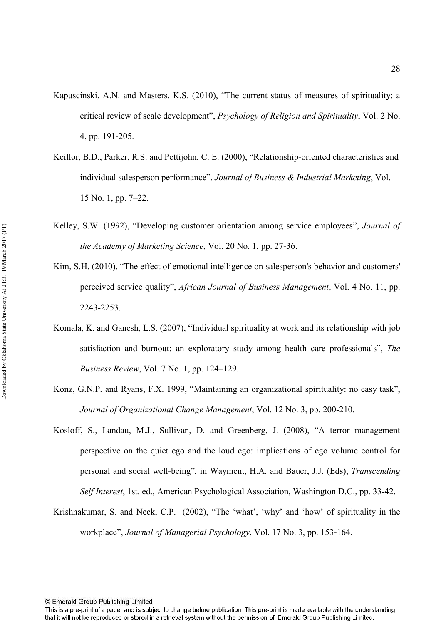- Kapuscinski, A.N. and Masters, K.S. (2010), "The current status of measures of spirituality: a critical review of scale development", *Psychology of Religion and Spirituality*, Vol. 2 No. 4, pp. 191-205.
- Keillor, B.D., Parker, R.S. and Pettijohn, C. E. (2000), "Relationship-oriented characteristics and individual salesperson performance", *Journal of Business & Industrial Marketing*, Vol. 15 No. 1, pp. 7–22.
- Kelley, S.W. (1992), "Developing customer orientation among service employees", *Journal of the Academy of Marketing Science, Vol. 20 No. 1, pp. 27-36.*
- Kim, S.H. (2010), "The effect of emotional intelligence on salesperson's behavior and customers' perceived service quality", *African Journal of Business Management*, Vol. 4 No. 11, pp. 22432253.
- Komala, K. and Ganesh, L.S. (2007), "Individual spirituality at work and its relationship with job satisfaction and burnout: an exploratory study among health care professionals", The *Business Review, Vol. 7 No. 1, pp. 124–129.*
- Konz, G.N.P. and Ryans, F.X. 1999, "Maintaining an organizational spirituality: no easy task", *Journal of Organizational Change Management, Vol. 12 No. 3, pp. 200-210.*
- Kosloff, S., Landau, M.J., Sullivan, D. and Greenberg, J. (2008), "A terror management perspective on the quiet ego and the loud ego: implications of ego volume control for personal and social well-being", in Wayment, H.A. and Bauer, J.J. (Eds), *Transcending* Self Interest, 1st. ed., American Psychological Association, Washington D.C., pp. 33-42.
- Krishnakumar, S. and Neck, C.P. (2002), "The 'what', 'why' and 'how' of spirituality in the workplace", *Journal of Managerial Psychology*, Vol. 17 No. 3, pp. 153-164.

This is a pre-print of a paper and is subject to change before publication. This pre-print is made available with the understanding that it will not be reproduced or stored in a retrieval system without the permission of Emerald Group Publishing Limited.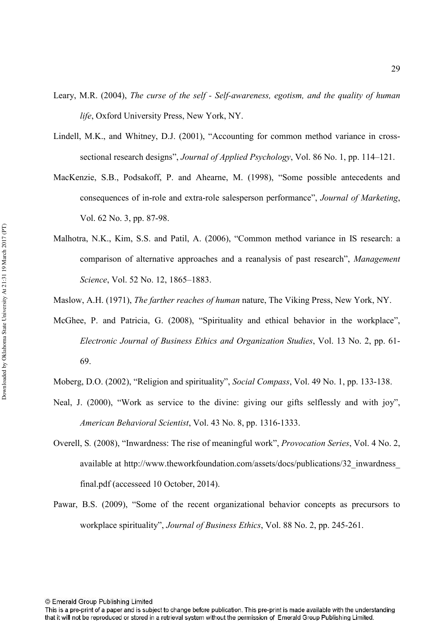- Leary, M.R. (2004), The curse of the self Self-awareness, egotism, and the quality of human *life*, Oxford University Press, New York, NY.
- Lindell, M.K., and Whitney, D.J. (2001), "Accounting for common method variance in cross sectional research designs", *Journal of Applied Psychology*, Vol. 86 No. 1, pp. 114–121.
- MacKenzie, S.B., Podsakoff, P. and Ahearne, M. (1998), "Some possible antecedents and consequences of in-role and extra-role salesperson performance", *Journal of Marketing*, Vol. 62 No. 3, pp. 87-98.
- Malhotra, N.K., Kim, S.S. and Patil, A. (2006), "Common method variance in IS research: a comparison of alternative approaches and a reanalysis of past research", *Management* Science, Vol. 52 No. 12, 1865-1883.
- Maslow, A.H. (1971), *The farther reaches of human* nature, The Viking Press, New York, NY.
- McGhee, P. and Patricia, G. (2008), "Spirituality and ethical behavior in the workplace", Electronic Journal of Business Ethics and Organization Studies, Vol. 13 No. 2, pp. 61-69.
- Moberg, D.O. (2002), "Religion and spirituality", *Social Compass*, Vol. 49 No. 1, pp. 133-138.
- Neal, J. (2000), "Work as service to the divine: giving our gifts selflessly and with joy", *American Behavioral Scientist, Vol. 43 No. 8, pp. 1316-1333.*
- Overell, S. (2008), "Inwardness: The rise of meaningful work", *Provocation Series*, Vol. 4 No. 2, available at http://www.theworkfoundation.com/assets/docs/publications/32\_inwardness\_ final.pdf (accesseed 10 October, 2014).
- Pawar, B.S. (2009), "Some of the recent organizational behavior concepts as precursors to workplace spirituality", *Journal of Business Ethics*, Vol. 88 No. 2, pp. 245-261.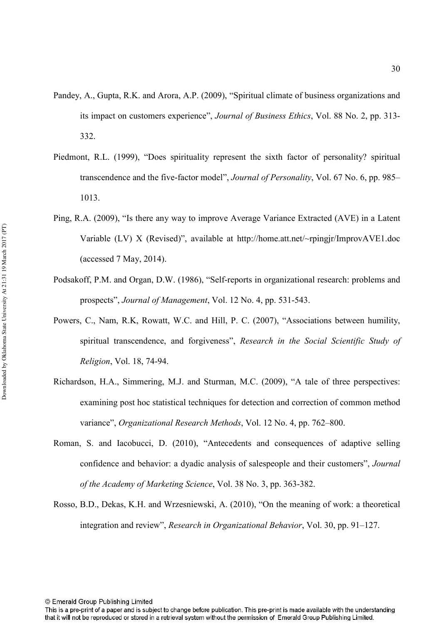- Pandey, A., Gupta, R.K. and Arora, A.P. (2009), "Spiritual climate of business organizations and its impact on customers experience", *Journal of Business Ethics*, Vol. 88 No. 2, pp. 313-332.
- Piedmont, R.L. (1999), "Does spirituality represent the sixth factor of personality? spiritual transcendence and the five-factor model", *Journal of Personality*, Vol. 67 No. 6, pp. 985– 1013.
- Ping, R.A. (2009), "Is there any way to improve Average Variance Extracted (AVE) in a Latent Variable (LV) X (Revised)", available at http://home.att.net/~rpingjr/ImprovAVE1.doc (accessed 7 May, 2014).
- Podsakoff, P.M. and Organ, D.W. (1986), "Self-reports in organizational research: problems and prospects", *Journal of Management*, Vol. 12 No. 4, pp. 531-543.
- Powers, C., Nam, R.K, Rowatt, W.C. and Hill, P. C. (2007), "Associations between humility, spiritual transcendence, and forgiveness", Research in the Social Scientific Study of *Religion*, Vol. 18, 74-94.
- Richardson, H.A., Simmering, M.J. and Sturman, M.C. (2009), "A tale of three perspectives: examining post hoc statistical techniques for detection and correction of common method variance", *Organizational Research Methods*, Vol. 12 No. 4, pp. 762–800.
- Roman, S. and Iacobucci, D. (2010), "Antecedents and consequences of adaptive selling confidence and behavior: a dyadic analysis of salespeople and their customers", *.*  of the Academy of Marketing Science, Vol. 38 No. 3, pp. 363-382.
- Rosso, B.D., Dekas, K.H. and Wrzesniewski, A. (2010), "On the meaning of work: a theoretical integration and review", *Research in Organizational Behavior*, Vol. 30, pp. 91–127.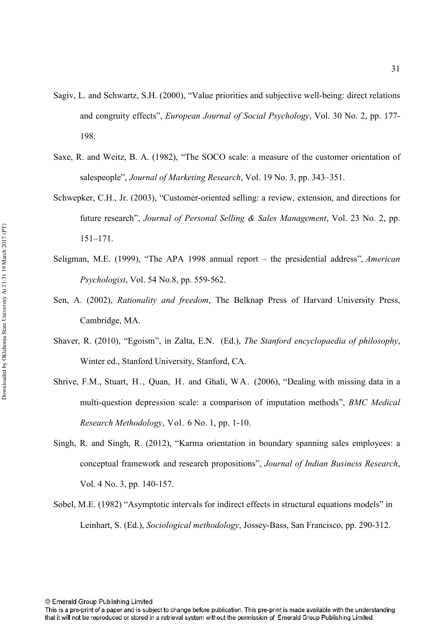- Sagiv, L. and Schwartz, S.H. (2000), "Value priorities and subjective well-being: direct relations and congruity effects", *European Journal of Social Psychology*, Vol. 30 No. 2, pp. 177-198.
- Saxe, R. and Weitz, B. A. (1982), "The SOCO scale: a measure of the customer orientation of salespeople", *Journal of Marketing Research*, Vol. 19 No. 3, pp. 343–351.
- Schwepker, C.H., Jr. (2003), "Customer-oriented selling: a review, extension, and directions for future research", *Journal of Personal Selling & Sales Management*, Vol. 23 No. 2, pp. 151–171.
- Seligman, M.E. (1999), "The APA 1998 annual report the presidential address", *American Psychologist*, Vol. 54 No.8, pp. 559-562.
- Sen, A. (2002), *Rationality and freedom*, The Belknap Press of Harvard University Press, Cambridge, MA.
- Shaver, R. (2010), "Egoism", in Zalta, E.N. (Ed.), *The Stanford encyclopaedia of philosophy*, Winter ed., Stanford University, Stanford, CA.
- Shrive, F.M., Stuart, H., Quan, H. and Ghali, WA. (2006), "Dealing with missing data in a multi-question depression scale: a comparison of imputation methods", *BMC Medical Research Methodology*, Vol. 6 No. 1, pp. 1-10.
- Singh, R. and Singh, R. (2012), "Karma orientation in boundary spanning sales employees: a conceptual framework and research propositions", *Journal of Indian Business Research*, Vol. 4 No. 3, pp. 140-157.
- Sobel, M.E. (1982) "Asymptotic intervals for indirect effects in structural equations models" in Leinhart, S. (Ed.), *Sociological methodology*, Jossey-Bass, San Francisco, pp. 290-312.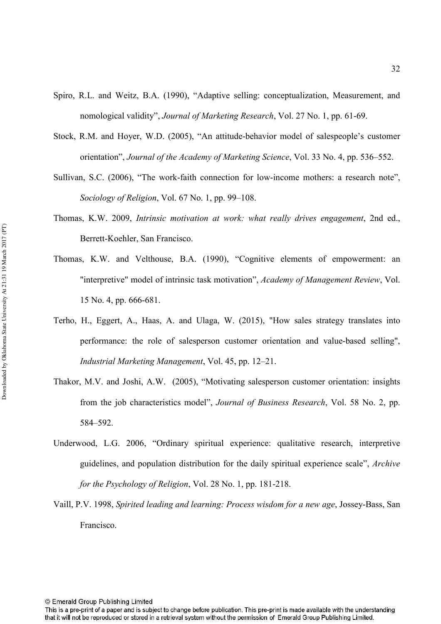- Spiro, R.L. and Weitz, B.A. (1990), "Adaptive selling: conceptualization, Measurement, and nomological validity", *Journal of Marketing Research*, Vol. 27 No. 1, pp. 61-69.
- Stock, R.M. and Hoyer, W.D. (2005), "An attitude-behavior model of salespeople's customer orientation", *Journal of the Academy of Marketing Science*, Vol. 33 No. 4, pp. 536–552.
- Sullivan, S.C. (2006), "The work-faith connection for low-income mothers: a research note", *Sociology of Religion, Vol. 67 No. 1, pp. 99–108.*
- Thomas, K.W. 2009, *Intrinsic motivation at work: what really drives engagement*, 2nd ed., Berrett-Koehler, San Francisco.
- Thomas, K.W. and Velthouse, B.A. (1990), "Cognitive elements of empowerment: an "interpretive" model of intrinsic task motivation", *Academy of Management Review*, Vol. 15 No. 4, pp. 666-681.
- Terho, H., Eggert, A., Haas, A. and Ulaga, W. (2015), "How sales strategy translates into performance: the role of salesperson customer orientation and valuebased selling", Industrial Marketing Management, Vol. 45, pp. 12–21.
- Thakor, M.V. and Joshi, A.W. (2005), "Motivating salesperson customer orientation: insights from the job characteristics model", *Journal of Business Research*, Vol. 58 No. 2, pp. 584–592.
- Underwood, L.G. 2006, "Ordinary spiritual experience: qualitative research, interpretive guidelines, and population distribution for the daily spiritual experience scale",  *for the Psychology of Religion, Vol. 28 No. 1, pp. 181-218.*
- Vaill, P.V. 1998, *Spirited leading and learning: Process wisdom for a new age, Jossey-Bass, San* Francisco.

This is a pre-print of a paper and is subject to change before publication. This pre-print is made available with the understanding that it will not be reproduced or stored in a retrieval system without the permission of Emerald Group Publishing Limited.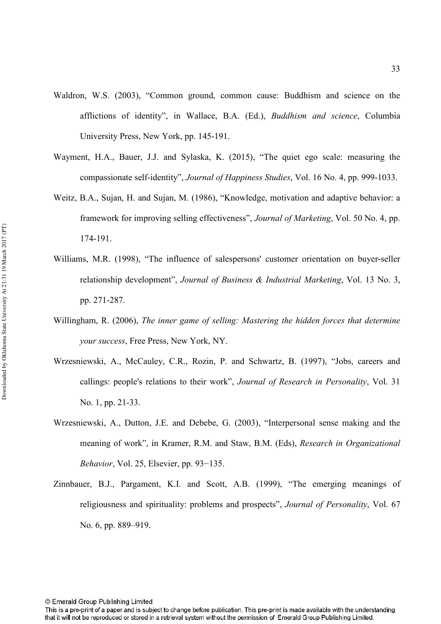- Waldron, W.S. (2003), "Common ground, common cause: Buddhism and science on the afflictions of identity", in Wallace, B.A. (Ed.), *Buddhism and science*, Columbia University Press, New York, pp. 145191.
- Wayment, H.A., Bauer, J.J. and Sylaska, K. (2015), "The quiet ego scale: measuring the compassionate self-identity", *Journal of Happiness Studies*, Vol. 16 No. 4, pp. 999-1033.
- Weitz, B.A., Sujan, H. and Sujan, M. (1986), "Knowledge, motivation and adaptive behavior: a framework for improving selling effectiveness", *Journal of Marketing*, Vol. 50 No. 4, pp. 174-191.
- Williams, M.R. (1998), "The influence of salespersons' customer orientation on buyer-seller relationship development", *Journal of Business & Industrial Marketing*, Vol. 13 No. 3, pp. 271-287.
- Willingham, R. (2006), The inner game of selling: Mastering the hidden forces that determine *your success*, Free Press, New York, NY.
- Wrzesniewski, A., McCauley, C.R., Rozin, P. and Schwartz, B. (1997), "Jobs, careers and callings: people's relations to their work", *Journal of Research in Personality*, Vol. 31 No. 1, pp. 21-33.
- Wrzesniewski, A., Dutton, J.E. and Debebe, G. (2003), "Interpersonal sense making and the meaning of work", in Kramer, R.M. and Staw, B.M. (Eds), *Research in Organizational Behavior*, Vol. 25, Elsevier, pp. 93–135.
- Zinnbauer, B.J., Pargament, K.I. and Scott, A.B. (1999), "The emerging meanings of religiousness and spirituality: problems and prospects", *Journal of Personality*, Vol. 67 No. 6, pp. 889–919.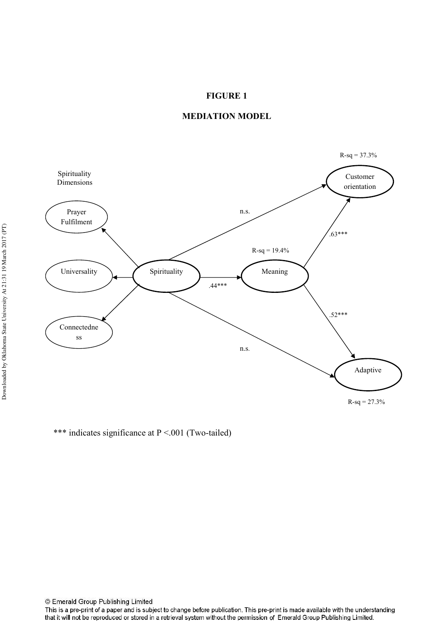#### **FIGURE 1**



#### **MEDIATION MODEL**

\*\*\* indicates significance at P <.001 (Two-tailed)

© Emerald Group Publishing Limited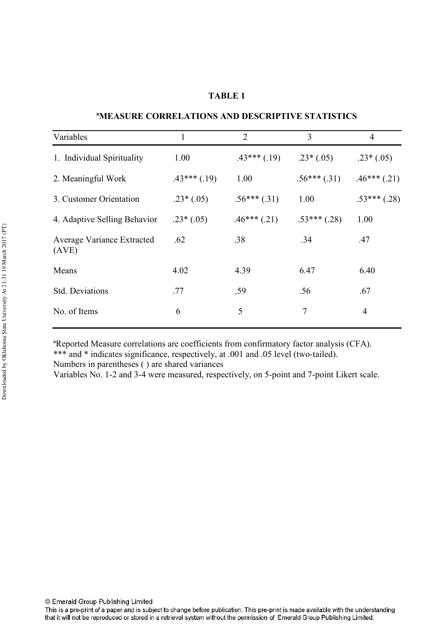#### **TABLE 1**

| Variables                                  | 1             | $\overline{2}$   | 3              | $\overline{4}$ |
|--------------------------------------------|---------------|------------------|----------------|----------------|
| 1. Individual Spirituality                 | 1.00          | $.43***$ $(.19)$ | $.23*(.05)$    | $.23*(.05)$    |
| 2. Meaningful Work                         | $.43***(.19)$ | 1.00             | $.56***(.31)$  | $.46***$ (.21) |
| 3. Customer Orientation                    | $.23*(.05)$   | $.56***(.31)$    | 1.00           | $.53***$ (.28) |
| 4. Adaptive Selling Behavior               | $.23*(.05)$   | $.46***$ (.21)   | $.53***$ (.28) | 1.00           |
| <b>Average Variance Extracted</b><br>(AVE) | .62           | .38              | .34            | .47            |
| Means                                      | 4.02          | 4.39             | 6.47           | 6.40           |
| <b>Std. Deviations</b>                     | .77           | .59              | .56            | .67            |
| No. of Items                               | 6             | 5                | 7              | 4              |

#### **AMEASURE CORRELATIONS AND DESCRIPTIVE STATISTICS**

<sup>a</sup>Reported Measure correlations are coefficients from confirmatory factor analysis (CFA). \*\*\* and \* indicates significance, respectively, at .001 and .05 level (two-tailed).

Numbers in parentheses () are shared variances

Variables No. 1-2 and 3-4 were measured, respectively, on 5-point and 7-point Likert scale.

This is a pre-print of a paper and is subject to change before publication. This pre-print is made available with the understanding that it will not be reproduced or stored in a retrieval system without the permission of Emerald Group Publishing Limited.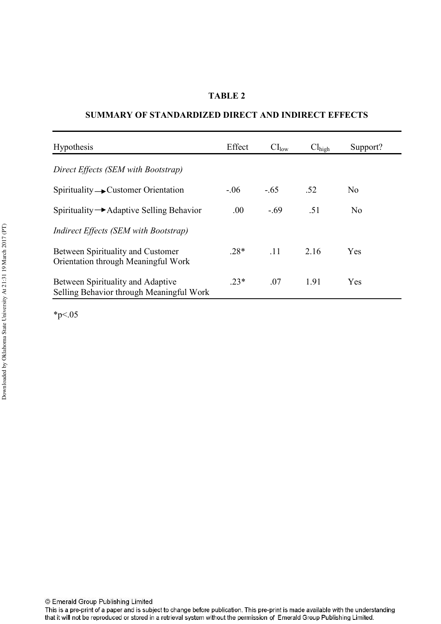#### **TABLE 2**

#### **SUMMARY OF STANDARDIZED DIRECT AND INDIRECT EFFECTS**

| <b>Hypothesis</b>                                                               | Effect | CI <sub>low</sub> | $Cl_{\text{high}}$ | Support?       |
|---------------------------------------------------------------------------------|--------|-------------------|--------------------|----------------|
| Direct Effects (SEM with Bootstrap)                                             |        |                   |                    |                |
| $Spirituality \rightarrow$ Customer Orientation                                 | $-.06$ | $-.65$            | .52                | N <sub>0</sub> |
| Spirituality $\rightarrow$ Adaptive Selling Behavior                            | .00.   | $-.69$            | .51                | N <sub>0</sub> |
| Indirect Effects (SEM with Bootstrap)                                           |        |                   |                    |                |
| <b>Between Spirituality and Customer</b><br>Orientation through Meaningful Work | $.28*$ | .11               | 2.16               | Yes            |
| Between Spirituality and Adaptive<br>Selling Behavior through Meaningful Work   | $.23*$ | .07               | 1.91               | Yes            |

 $*_{p<.05}$ 

This is a pre-print of a paper and is subject to change before publication. This pre-print is made available with the understanding that it will not be reproduced or stored in a retrieval system without the permission of Emerald Group Publishing Limited.